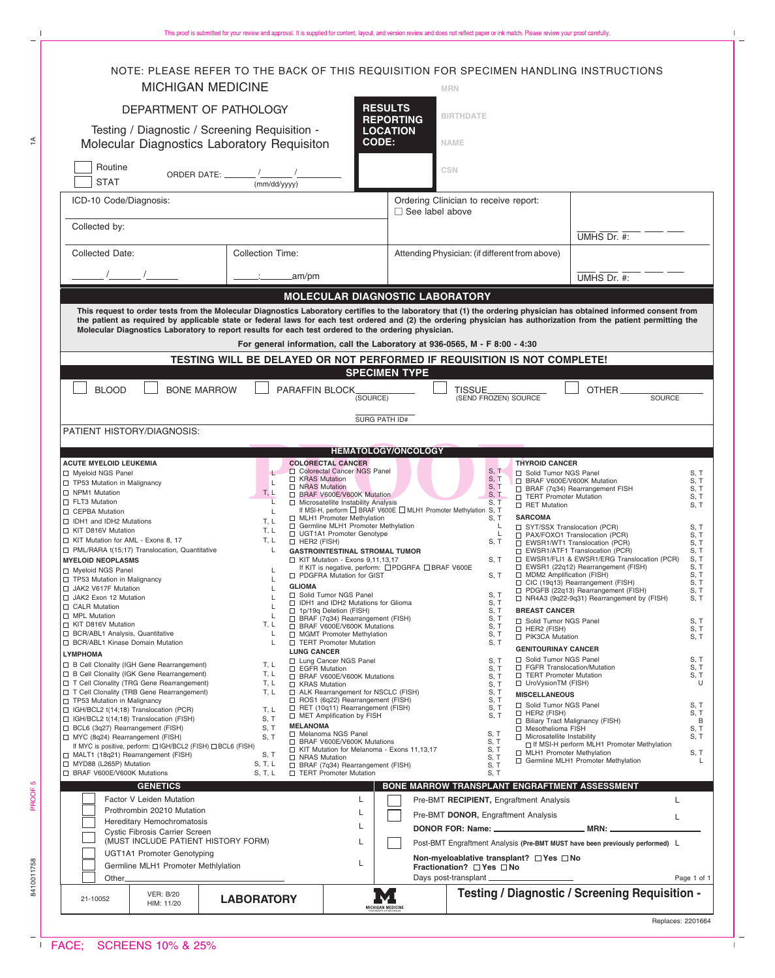$\bar{\Gamma}$ 

 $\overline{\phantom{a}}$  $\bar{\Gamma}$ 

| <b>MICHIGAN MEDICINE</b><br><b>MRN</b><br><b>RESULTS</b><br>DEPARTMENT OF PATHOLOGY<br><b>BIRTHDATE</b><br><b>REPORTING</b><br>Testing / Diagnostic / Screening Requisition -<br><b>LOCATION</b><br><b>CODE:</b><br>Molecular Diagnostics Laboratory Requisiton<br><b>NAME</b><br>Routine<br><b>CSN</b><br>ORDER DATE: _______ /_______<br><b>STAT</b><br>(mm/dd/yyyy)<br>ICD-10 Code/Diagnosis:<br>Ordering Clinician to receive report:<br>$\Box$ See label above<br>Collected by:<br>UMHS Dr. #:<br>Collected Date:<br><b>Collection Time:</b><br>Attending Physician: (if different from above)<br>.am/pm<br>UMHS Dr. #:<br>MOLECULAR DIAGNOSTIC LABORATORY<br>This request to order tests from the Molecular Diagnostics Laboratory certifies to the laboratory that (1) the ordering physician has obtained informed consent from<br>the patient as required by applicable state or federal laws for each test ordered and (2) the ordering physician has authorization from the patient permitting the<br>Molecular Diagnostics Laboratory to report results for each test ordered to the ordering physician.<br>For general information, call the Laboratory at 936-0565, M - F 8:00 - 4:30<br>TESTING WILL BE DELAYED OR NOT PERFORMED IF REQUISITION IS NOT COMPLETE!<br><b>SPECIMEN TYPE</b><br><b>BLOOD</b><br><b>BONE MARROW</b><br>PARAFFIN BLOCK<br>OTHER<br><b>TISSUE</b><br>(SEND FROZEN) SOURCE<br>(SOURCE)<br><b>SOURCE</b><br>SURG PATH ID#<br><b>HEMATOLOGY/ONCOLOGY</b><br><b>COLORECTAL CANCER</b><br><b>THYROID CANCER</b><br>Colorectal Cancer NGS Panel<br>S, T<br>□ Myeloid NGS Panel<br>Solid Tumor NGS Panel<br>S, T<br>□ KRAS Mutation<br>S, T<br>S, T<br>□ BRAF V600E/V600K Mutation<br>L<br>□ NRAS Mutation<br>S, T<br>□ BRAF (7q34) Rearrangement FISH<br>S, T<br>T, L<br>□ BRAF V600E/V600K Mutation<br>S, T<br>TERT Promoter Mutation<br>S, T<br>L<br>□ Microsatellite Instability Analysis<br>S, T<br>RET Mutation<br>S, T<br>If MSI-H, perform □ BRAF V600E □ MLH1 Promoter Methylation S, T<br>L.<br><b>SARCOMA</b><br>MLH1 Promoter Methylation<br>S, T<br>T, L<br>□ Germline MLH1 Promoter Methylation<br>L<br>□ SYT/SSX Translocation (PCR)<br>S, T<br>T, L<br>□ KIT D816V Mutation<br>□ UGT1A1 Promoter Genotype<br>L.<br>□ PAX/FOXO1 Translocation (PCR)<br>S, T<br>T, L<br>HER2 (FISH)<br>S, T<br>EWSR1/WT1 Translocation (PCR)<br>S, T<br>L<br>EWSR1/ATF1 Translocation (PCR)<br><b>GASTROINTESTINAL STROMAL TUMOR</b><br>S, T<br>□ EWSR1/FLI1 & EWSR1/ERG Translocation (PCR)<br>S, T<br>$\Box$ KIT Mutation - Exons 9,11,13,17<br>S, T<br>EWSR1 (22q12) Rearrangement (FISH)<br>S, T<br>If KIT is negative, perform: <b>PDGRFA</b> BRAF V600E<br>□ PDGFRA Mutation for GIST<br>S, T<br>□ MDM2 Amplification (FISH)<br>S, T<br>S, T<br>$\Box$ CIC (19q13) Rearrangement (FISH)<br><b>GLIOMA</b><br>□ PDGFB (22q13) Rearrangement (FISH)<br>S, T<br>Solid Tumor NGS Panel<br>S, T<br>□ NR4A3 (9q22-9q31) Rearrangement by (FISH)<br>S, T<br>□ IDH1 and IDH2 Mutations for Glioma<br>S, T<br>1p/19q Deletion (FISH)<br>S, T<br><b>BREAST CANCER</b><br>0<br>L<br>BRAF (7q34) Rearrangement (FISH)<br>S, T<br>Solid Tumor NGS Panel<br>S, T<br>T, L<br>□ BRAF V600E/V600K Mutations<br>S, T<br>$\Box$ HER2 (FISH)<br>S, T<br>L<br>MGMT Promoter Methylation<br>S, T<br>□ PIK3CA Mutation<br>S, T<br>$\mathsf{L}$<br>TERT Promoter Mutation<br>S, T<br><b>GENITOURINAY CANCER</b><br><b>LUNG CANCER</b><br>S, T<br>Solid Tumor NGS Panel<br>S, T<br>□ Lung Cancer NGS Panel<br>T, L<br>□ FGFR Translocation/Mutation<br>S, T<br>□ EGFR Mutation<br>S, T<br>B Cell Clonality (IGK Gene Rearrangement)<br>T, L<br>TERT Promoter Mutation<br>S, T<br>BRAF V600E/V600K Mutations<br>S, T<br>T, L<br>□ UroVysionTM (FISH)<br>U<br>□ KRAS Mutation<br>S, T<br>T, L<br>□ ALK Rearrangement for NSCLC (FISH)<br>S, T<br><b>MISCELLANEOUS</b><br>$\Box$ ROS1 (6q22) Rearrangement (FISH)<br>S, T<br>□ Solid Tumor NGS Panel<br>S, T<br>$\Box$ RET (10q11) Rearrangement (FISH)<br>S, T<br>T, L<br>$\Box$ HER2 (FISH)<br>S, T<br>MET Amplification by FISH<br>S, T<br>S, T<br>□ Biliary Tract Malignancy (FISH)<br>B<br><b>MELANOMA</b><br>S, T<br>□ Mesothelioma FISH<br>S, T<br>□ Melanoma NGS Panel<br>S, T<br>$\Box$ Microsatellite Instability<br>S, T<br>S, T<br>S, T<br>□ BRAF V600E/V600K Mutations<br>If MSI-H perform MLH1 Promoter Methylation<br>If MYC is positive, perform: [ IGH/BCL2 (FISH) [ BCL6 (FISH)<br>S, T<br>□ KIT Mutation for Melanoma - Exons 11,13,17<br>□ MLH1 Promoter Methylation<br>S, T<br>S, T<br>□ NRAS Mutation<br>S, T<br>Germline MLH1 Promoter Methylation<br>L<br>S, T, L<br>□ BRAF (7q34) Rearrangement (FISH)<br>S, T<br>S, T, L<br>TERT Promoter Mutation<br>S, T<br>BONE MARROW TRANSPLANT ENGRAFTMENT ASSESSMENT<br><b>GENETICS</b><br>Factor V Leiden Mutation<br>L<br>Pre-BMT RECIPIENT, Engraftment Analysis<br>L<br>Prothrombin 20210 Mutation<br>L<br>Pre-BMT DONOR, Engraftment Analysis<br>L<br>Hereditary Hemochromatosis<br>L<br>. MRN: ___<br>Cystic Fibrosis Carrier Screen<br>(MUST INCLUDE PATIENT HISTORY FORM)<br>L<br>Post-BMT Engraftment Analysis (Pre-BMT MUST have been previously performed) L<br><b>UGT1A1 Promoter Genotyping</b><br>Non-myeloablative transplant? □ Yes □ No<br>L<br>Germline MLH1 Promoter Methlylation<br>Fractionation? □ Yes □ No<br>Days post-transplant _<br>Other_<br>Page 1 of 1<br>Testing / Diagnostic / Screening Requisition - | <b>VER: B/20</b><br>21-10052<br>HIM: 11/20                                                                                                                                                                                                                                                                                                                                                        | <b>LABORATORY</b> | <b>MICHIGAN MEDICINE</b> |  |  |
|-----------------------------------------------------------------------------------------------------------------------------------------------------------------------------------------------------------------------------------------------------------------------------------------------------------------------------------------------------------------------------------------------------------------------------------------------------------------------------------------------------------------------------------------------------------------------------------------------------------------------------------------------------------------------------------------------------------------------------------------------------------------------------------------------------------------------------------------------------------------------------------------------------------------------------------------------------------------------------------------------------------------------------------------------------------------------------------------------------------------------------------------------------------------------------------------------------------------------------------------------------------------------------------------------------------------------------------------------------------------------------------------------------------------------------------------------------------------------------------------------------------------------------------------------------------------------------------------------------------------------------------------------------------------------------------------------------------------------------------------------------------------------------------------------------------------------------------------------------------------------------------------------------------------------------------------------------------------------------------------------------------------------------------------------------------------------------------------------------------------------------------------------------------------------------------------------------------------------------------------------------------------------------------------------------------------------------------------------------------------------------------------------------------------------------------------------------------------------------------------------------------------------------------------------------------------------------------------------------------------------------------------------------------------------------------------------------------------------------------------------------------------------------------------------------------------------------------------------------------------------------------------------------------------------------------------------------------------------------------------------------------------------------------------------------------------------------------------------------------------------------------------------------------------------------------------------------------------------------------------------------------------------------------------------------------------------------------------------------------------------------------------------------------------------------------------------------------------------------------------------------------------------------------------------------------------------------------------------------------------------------------------------------------------------------------------------------------------------------------------------------------------------------------------------------------------------------------------------------------------------------------------------------------------------------------------------------------------------------------------------------------------------------------------------------------------------------------------------------------------------------------------------------------------------------------------------------------------------------------------------------------------------------------------------------------------------------------------------------------------------------------------------------------------------------------------------------------------------------------------------------------------------------------------------------------------------------------------------------------------------------------------------------------------------------------------------------------------------------------------------------------------------------------------------------------------------------------------------------------------------------------------------------------------------------------------------------------------------------------------------------------------------------------------------------------------------------------------------------------------------------------------------------------------------------------------------------------------------------------------------------------------------------------------------------------------------------------------------------------------------------------------------------------------------------------------------------------------|---------------------------------------------------------------------------------------------------------------------------------------------------------------------------------------------------------------------------------------------------------------------------------------------------------------------------------------------------------------------------------------------------|-------------------|--------------------------|--|--|
|                                                                                                                                                                                                                                                                                                                                                                                                                                                                                                                                                                                                                                                                                                                                                                                                                                                                                                                                                                                                                                                                                                                                                                                                                                                                                                                                                                                                                                                                                                                                                                                                                                                                                                                                                                                                                                                                                                                                                                                                                                                                                                                                                                                                                                                                                                                                                                                                                                                                                                                                                                                                                                                                                                                                                                                                                                                                                                                                                                                                                                                                                                                                                                                                                                                                                                                                                                                                                                                                                                                                                                                                                                                                                                                                                                                                                                                                                                                                                                                                                                                                                                                                                                                                                                                                                                                                                                                                                                                                                                                                                                                                                                                                                                                                                                                                                                                                                                                                                                                                                                                                                                                                                                                                                                                                                                                                                                                                                                                                 |                                                                                                                                                                                                                                                                                                                                                                                                   |                   |                          |  |  |
|                                                                                                                                                                                                                                                                                                                                                                                                                                                                                                                                                                                                                                                                                                                                                                                                                                                                                                                                                                                                                                                                                                                                                                                                                                                                                                                                                                                                                                                                                                                                                                                                                                                                                                                                                                                                                                                                                                                                                                                                                                                                                                                                                                                                                                                                                                                                                                                                                                                                                                                                                                                                                                                                                                                                                                                                                                                                                                                                                                                                                                                                                                                                                                                                                                                                                                                                                                                                                                                                                                                                                                                                                                                                                                                                                                                                                                                                                                                                                                                                                                                                                                                                                                                                                                                                                                                                                                                                                                                                                                                                                                                                                                                                                                                                                                                                                                                                                                                                                                                                                                                                                                                                                                                                                                                                                                                                                                                                                                                                 |                                                                                                                                                                                                                                                                                                                                                                                                   |                   |                          |  |  |
|                                                                                                                                                                                                                                                                                                                                                                                                                                                                                                                                                                                                                                                                                                                                                                                                                                                                                                                                                                                                                                                                                                                                                                                                                                                                                                                                                                                                                                                                                                                                                                                                                                                                                                                                                                                                                                                                                                                                                                                                                                                                                                                                                                                                                                                                                                                                                                                                                                                                                                                                                                                                                                                                                                                                                                                                                                                                                                                                                                                                                                                                                                                                                                                                                                                                                                                                                                                                                                                                                                                                                                                                                                                                                                                                                                                                                                                                                                                                                                                                                                                                                                                                                                                                                                                                                                                                                                                                                                                                                                                                                                                                                                                                                                                                                                                                                                                                                                                                                                                                                                                                                                                                                                                                                                                                                                                                                                                                                                                                 |                                                                                                                                                                                                                                                                                                                                                                                                   |                   |                          |  |  |
|                                                                                                                                                                                                                                                                                                                                                                                                                                                                                                                                                                                                                                                                                                                                                                                                                                                                                                                                                                                                                                                                                                                                                                                                                                                                                                                                                                                                                                                                                                                                                                                                                                                                                                                                                                                                                                                                                                                                                                                                                                                                                                                                                                                                                                                                                                                                                                                                                                                                                                                                                                                                                                                                                                                                                                                                                                                                                                                                                                                                                                                                                                                                                                                                                                                                                                                                                                                                                                                                                                                                                                                                                                                                                                                                                                                                                                                                                                                                                                                                                                                                                                                                                                                                                                                                                                                                                                                                                                                                                                                                                                                                                                                                                                                                                                                                                                                                                                                                                                                                                                                                                                                                                                                                                                                                                                                                                                                                                                                                 | □ T Cell Clonality (TRG Gene Rearrangement)<br>T Cell Clonality (TRB Gene Rearrangement)<br>TP53 Mutation in Malignancy<br>$\Box$ IGH/BCL2 t(14;18) Translocation (PCR)<br>$\Box$ IGH/BCL2 t(14;18) Translocation (FISH)<br>□ BCL6 (3q27) Rearrangement (FISH)<br>MYC (8q24) Rearrangement (FISH)<br>MALT1 (18q21) Rearrangement (FISH)<br>MYD88 (L265P) Mutation<br>□ BRAF V600E/V600K Mutations |                   |                          |  |  |
|                                                                                                                                                                                                                                                                                                                                                                                                                                                                                                                                                                                                                                                                                                                                                                                                                                                                                                                                                                                                                                                                                                                                                                                                                                                                                                                                                                                                                                                                                                                                                                                                                                                                                                                                                                                                                                                                                                                                                                                                                                                                                                                                                                                                                                                                                                                                                                                                                                                                                                                                                                                                                                                                                                                                                                                                                                                                                                                                                                                                                                                                                                                                                                                                                                                                                                                                                                                                                                                                                                                                                                                                                                                                                                                                                                                                                                                                                                                                                                                                                                                                                                                                                                                                                                                                                                                                                                                                                                                                                                                                                                                                                                                                                                                                                                                                                                                                                                                                                                                                                                                                                                                                                                                                                                                                                                                                                                                                                                                                 | □ CALR Mutation<br>□ MPL Mutation<br>□ KIT D816V Mutation<br>□ BCR/ABL1 Analysis, Quantitative<br>□ BCR/ABL1 Kinase Domain Mutation<br><b>LYMPHOMA</b><br>□ B Cell Clonality (IGH Gene Rearrangement)                                                                                                                                                                                             |                   |                          |  |  |
|                                                                                                                                                                                                                                                                                                                                                                                                                                                                                                                                                                                                                                                                                                                                                                                                                                                                                                                                                                                                                                                                                                                                                                                                                                                                                                                                                                                                                                                                                                                                                                                                                                                                                                                                                                                                                                                                                                                                                                                                                                                                                                                                                                                                                                                                                                                                                                                                                                                                                                                                                                                                                                                                                                                                                                                                                                                                                                                                                                                                                                                                                                                                                                                                                                                                                                                                                                                                                                                                                                                                                                                                                                                                                                                                                                                                                                                                                                                                                                                                                                                                                                                                                                                                                                                                                                                                                                                                                                                                                                                                                                                                                                                                                                                                                                                                                                                                                                                                                                                                                                                                                                                                                                                                                                                                                                                                                                                                                                                                 | $\Box$ KIT Mutation for AML - Exons 8, 17<br>□ PML/RARA t(15;17) Translocation, Quantitative<br><b>MYELOID NEOPLASMS</b><br>Myeloid NGS Panel<br>TP53 Mutation in Malignancy<br>JAK2 V617F Mutation<br>□ JAK2 Exon 12 Mutation                                                                                                                                                                    |                   |                          |  |  |
|                                                                                                                                                                                                                                                                                                                                                                                                                                                                                                                                                                                                                                                                                                                                                                                                                                                                                                                                                                                                                                                                                                                                                                                                                                                                                                                                                                                                                                                                                                                                                                                                                                                                                                                                                                                                                                                                                                                                                                                                                                                                                                                                                                                                                                                                                                                                                                                                                                                                                                                                                                                                                                                                                                                                                                                                                                                                                                                                                                                                                                                                                                                                                                                                                                                                                                                                                                                                                                                                                                                                                                                                                                                                                                                                                                                                                                                                                                                                                                                                                                                                                                                                                                                                                                                                                                                                                                                                                                                                                                                                                                                                                                                                                                                                                                                                                                                                                                                                                                                                                                                                                                                                                                                                                                                                                                                                                                                                                                                                 | □ TP53 Mutation in Malignancy<br>□ NPM1 Mutation<br>$\Box$ FLT3 Mutation<br>□ CEPBA Mutation<br>□ IDH1 and IDH2 Mutations                                                                                                                                                                                                                                                                         |                   |                          |  |  |
|                                                                                                                                                                                                                                                                                                                                                                                                                                                                                                                                                                                                                                                                                                                                                                                                                                                                                                                                                                                                                                                                                                                                                                                                                                                                                                                                                                                                                                                                                                                                                                                                                                                                                                                                                                                                                                                                                                                                                                                                                                                                                                                                                                                                                                                                                                                                                                                                                                                                                                                                                                                                                                                                                                                                                                                                                                                                                                                                                                                                                                                                                                                                                                                                                                                                                                                                                                                                                                                                                                                                                                                                                                                                                                                                                                                                                                                                                                                                                                                                                                                                                                                                                                                                                                                                                                                                                                                                                                                                                                                                                                                                                                                                                                                                                                                                                                                                                                                                                                                                                                                                                                                                                                                                                                                                                                                                                                                                                                                                 | <b>ACUTE MYELOID LEUKEMIA</b>                                                                                                                                                                                                                                                                                                                                                                     |                   |                          |  |  |
|                                                                                                                                                                                                                                                                                                                                                                                                                                                                                                                                                                                                                                                                                                                                                                                                                                                                                                                                                                                                                                                                                                                                                                                                                                                                                                                                                                                                                                                                                                                                                                                                                                                                                                                                                                                                                                                                                                                                                                                                                                                                                                                                                                                                                                                                                                                                                                                                                                                                                                                                                                                                                                                                                                                                                                                                                                                                                                                                                                                                                                                                                                                                                                                                                                                                                                                                                                                                                                                                                                                                                                                                                                                                                                                                                                                                                                                                                                                                                                                                                                                                                                                                                                                                                                                                                                                                                                                                                                                                                                                                                                                                                                                                                                                                                                                                                                                                                                                                                                                                                                                                                                                                                                                                                                                                                                                                                                                                                                                                 | PATIENT HISTORY/DIAGNOSIS:                                                                                                                                                                                                                                                                                                                                                                        |                   |                          |  |  |
|                                                                                                                                                                                                                                                                                                                                                                                                                                                                                                                                                                                                                                                                                                                                                                                                                                                                                                                                                                                                                                                                                                                                                                                                                                                                                                                                                                                                                                                                                                                                                                                                                                                                                                                                                                                                                                                                                                                                                                                                                                                                                                                                                                                                                                                                                                                                                                                                                                                                                                                                                                                                                                                                                                                                                                                                                                                                                                                                                                                                                                                                                                                                                                                                                                                                                                                                                                                                                                                                                                                                                                                                                                                                                                                                                                                                                                                                                                                                                                                                                                                                                                                                                                                                                                                                                                                                                                                                                                                                                                                                                                                                                                                                                                                                                                                                                                                                                                                                                                                                                                                                                                                                                                                                                                                                                                                                                                                                                                                                 |                                                                                                                                                                                                                                                                                                                                                                                                   |                   |                          |  |  |
|                                                                                                                                                                                                                                                                                                                                                                                                                                                                                                                                                                                                                                                                                                                                                                                                                                                                                                                                                                                                                                                                                                                                                                                                                                                                                                                                                                                                                                                                                                                                                                                                                                                                                                                                                                                                                                                                                                                                                                                                                                                                                                                                                                                                                                                                                                                                                                                                                                                                                                                                                                                                                                                                                                                                                                                                                                                                                                                                                                                                                                                                                                                                                                                                                                                                                                                                                                                                                                                                                                                                                                                                                                                                                                                                                                                                                                                                                                                                                                                                                                                                                                                                                                                                                                                                                                                                                                                                                                                                                                                                                                                                                                                                                                                                                                                                                                                                                                                                                                                                                                                                                                                                                                                                                                                                                                                                                                                                                                                                 |                                                                                                                                                                                                                                                                                                                                                                                                   |                   |                          |  |  |
|                                                                                                                                                                                                                                                                                                                                                                                                                                                                                                                                                                                                                                                                                                                                                                                                                                                                                                                                                                                                                                                                                                                                                                                                                                                                                                                                                                                                                                                                                                                                                                                                                                                                                                                                                                                                                                                                                                                                                                                                                                                                                                                                                                                                                                                                                                                                                                                                                                                                                                                                                                                                                                                                                                                                                                                                                                                                                                                                                                                                                                                                                                                                                                                                                                                                                                                                                                                                                                                                                                                                                                                                                                                                                                                                                                                                                                                                                                                                                                                                                                                                                                                                                                                                                                                                                                                                                                                                                                                                                                                                                                                                                                                                                                                                                                                                                                                                                                                                                                                                                                                                                                                                                                                                                                                                                                                                                                                                                                                                 |                                                                                                                                                                                                                                                                                                                                                                                                   |                   |                          |  |  |
|                                                                                                                                                                                                                                                                                                                                                                                                                                                                                                                                                                                                                                                                                                                                                                                                                                                                                                                                                                                                                                                                                                                                                                                                                                                                                                                                                                                                                                                                                                                                                                                                                                                                                                                                                                                                                                                                                                                                                                                                                                                                                                                                                                                                                                                                                                                                                                                                                                                                                                                                                                                                                                                                                                                                                                                                                                                                                                                                                                                                                                                                                                                                                                                                                                                                                                                                                                                                                                                                                                                                                                                                                                                                                                                                                                                                                                                                                                                                                                                                                                                                                                                                                                                                                                                                                                                                                                                                                                                                                                                                                                                                                                                                                                                                                                                                                                                                                                                                                                                                                                                                                                                                                                                                                                                                                                                                                                                                                                                                 |                                                                                                                                                                                                                                                                                                                                                                                                   |                   |                          |  |  |
|                                                                                                                                                                                                                                                                                                                                                                                                                                                                                                                                                                                                                                                                                                                                                                                                                                                                                                                                                                                                                                                                                                                                                                                                                                                                                                                                                                                                                                                                                                                                                                                                                                                                                                                                                                                                                                                                                                                                                                                                                                                                                                                                                                                                                                                                                                                                                                                                                                                                                                                                                                                                                                                                                                                                                                                                                                                                                                                                                                                                                                                                                                                                                                                                                                                                                                                                                                                                                                                                                                                                                                                                                                                                                                                                                                                                                                                                                                                                                                                                                                                                                                                                                                                                                                                                                                                                                                                                                                                                                                                                                                                                                                                                                                                                                                                                                                                                                                                                                                                                                                                                                                                                                                                                                                                                                                                                                                                                                                                                 |                                                                                                                                                                                                                                                                                                                                                                                                   |                   |                          |  |  |
|                                                                                                                                                                                                                                                                                                                                                                                                                                                                                                                                                                                                                                                                                                                                                                                                                                                                                                                                                                                                                                                                                                                                                                                                                                                                                                                                                                                                                                                                                                                                                                                                                                                                                                                                                                                                                                                                                                                                                                                                                                                                                                                                                                                                                                                                                                                                                                                                                                                                                                                                                                                                                                                                                                                                                                                                                                                                                                                                                                                                                                                                                                                                                                                                                                                                                                                                                                                                                                                                                                                                                                                                                                                                                                                                                                                                                                                                                                                                                                                                                                                                                                                                                                                                                                                                                                                                                                                                                                                                                                                                                                                                                                                                                                                                                                                                                                                                                                                                                                                                                                                                                                                                                                                                                                                                                                                                                                                                                                                                 |                                                                                                                                                                                                                                                                                                                                                                                                   |                   |                          |  |  |
|                                                                                                                                                                                                                                                                                                                                                                                                                                                                                                                                                                                                                                                                                                                                                                                                                                                                                                                                                                                                                                                                                                                                                                                                                                                                                                                                                                                                                                                                                                                                                                                                                                                                                                                                                                                                                                                                                                                                                                                                                                                                                                                                                                                                                                                                                                                                                                                                                                                                                                                                                                                                                                                                                                                                                                                                                                                                                                                                                                                                                                                                                                                                                                                                                                                                                                                                                                                                                                                                                                                                                                                                                                                                                                                                                                                                                                                                                                                                                                                                                                                                                                                                                                                                                                                                                                                                                                                                                                                                                                                                                                                                                                                                                                                                                                                                                                                                                                                                                                                                                                                                                                                                                                                                                                                                                                                                                                                                                                                                 |                                                                                                                                                                                                                                                                                                                                                                                                   |                   |                          |  |  |
|                                                                                                                                                                                                                                                                                                                                                                                                                                                                                                                                                                                                                                                                                                                                                                                                                                                                                                                                                                                                                                                                                                                                                                                                                                                                                                                                                                                                                                                                                                                                                                                                                                                                                                                                                                                                                                                                                                                                                                                                                                                                                                                                                                                                                                                                                                                                                                                                                                                                                                                                                                                                                                                                                                                                                                                                                                                                                                                                                                                                                                                                                                                                                                                                                                                                                                                                                                                                                                                                                                                                                                                                                                                                                                                                                                                                                                                                                                                                                                                                                                                                                                                                                                                                                                                                                                                                                                                                                                                                                                                                                                                                                                                                                                                                                                                                                                                                                                                                                                                                                                                                                                                                                                                                                                                                                                                                                                                                                                                                 |                                                                                                                                                                                                                                                                                                                                                                                                   |                   |                          |  |  |
|                                                                                                                                                                                                                                                                                                                                                                                                                                                                                                                                                                                                                                                                                                                                                                                                                                                                                                                                                                                                                                                                                                                                                                                                                                                                                                                                                                                                                                                                                                                                                                                                                                                                                                                                                                                                                                                                                                                                                                                                                                                                                                                                                                                                                                                                                                                                                                                                                                                                                                                                                                                                                                                                                                                                                                                                                                                                                                                                                                                                                                                                                                                                                                                                                                                                                                                                                                                                                                                                                                                                                                                                                                                                                                                                                                                                                                                                                                                                                                                                                                                                                                                                                                                                                                                                                                                                                                                                                                                                                                                                                                                                                                                                                                                                                                                                                                                                                                                                                                                                                                                                                                                                                                                                                                                                                                                                                                                                                                                                 |                                                                                                                                                                                                                                                                                                                                                                                                   |                   |                          |  |  |
|                                                                                                                                                                                                                                                                                                                                                                                                                                                                                                                                                                                                                                                                                                                                                                                                                                                                                                                                                                                                                                                                                                                                                                                                                                                                                                                                                                                                                                                                                                                                                                                                                                                                                                                                                                                                                                                                                                                                                                                                                                                                                                                                                                                                                                                                                                                                                                                                                                                                                                                                                                                                                                                                                                                                                                                                                                                                                                                                                                                                                                                                                                                                                                                                                                                                                                                                                                                                                                                                                                                                                                                                                                                                                                                                                                                                                                                                                                                                                                                                                                                                                                                                                                                                                                                                                                                                                                                                                                                                                                                                                                                                                                                                                                                                                                                                                                                                                                                                                                                                                                                                                                                                                                                                                                                                                                                                                                                                                                                                 |                                                                                                                                                                                                                                                                                                                                                                                                   |                   |                          |  |  |
|                                                                                                                                                                                                                                                                                                                                                                                                                                                                                                                                                                                                                                                                                                                                                                                                                                                                                                                                                                                                                                                                                                                                                                                                                                                                                                                                                                                                                                                                                                                                                                                                                                                                                                                                                                                                                                                                                                                                                                                                                                                                                                                                                                                                                                                                                                                                                                                                                                                                                                                                                                                                                                                                                                                                                                                                                                                                                                                                                                                                                                                                                                                                                                                                                                                                                                                                                                                                                                                                                                                                                                                                                                                                                                                                                                                                                                                                                                                                                                                                                                                                                                                                                                                                                                                                                                                                                                                                                                                                                                                                                                                                                                                                                                                                                                                                                                                                                                                                                                                                                                                                                                                                                                                                                                                                                                                                                                                                                                                                 |                                                                                                                                                                                                                                                                                                                                                                                                   |                   |                          |  |  |

PROOF 5

1A

 $\mathbb{L}$